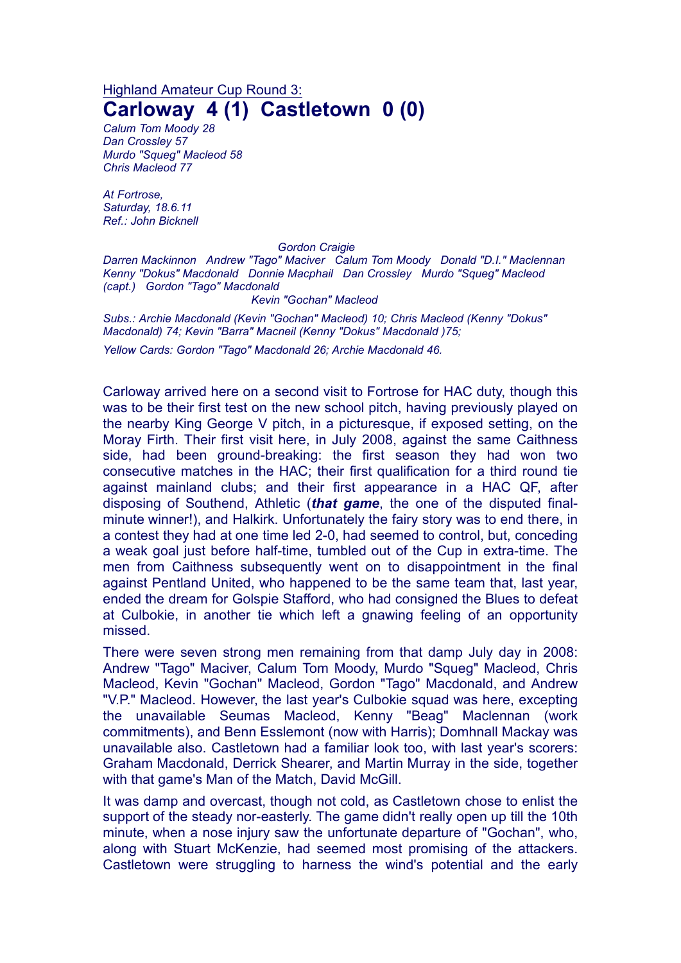## Highland Amateur Cup Round 3: **Carloway 4 (1) Castletown 0 (0)**

*Calum Tom Moody 28 Dan Crossley 57 Murdo "Squeg" Macleod 58 Chris Macleod 77*

*At Fortrose, Saturday, 18.6.11 Ref.: John Bicknell*

## *Gordon Craigie*

*Darren Mackinnon Andrew "Tago" Maciver Calum Tom Moody Donald "D.I." Maclennan Kenny "Dokus" Macdonald Donnie Macphail Dan Crossley Murdo "Squeg" Macleod (capt.) Gordon "Tago" Macdonald*

*Kevin "Gochan" Macleod*

*Subs.: Archie Macdonald (Kevin "Gochan" Macleod) 10; Chris Macleod (Kenny "Dokus" Macdonald) 74; Kevin "Barra" Macneil (Kenny "Dokus" Macdonald )75;*

*Yellow Cards: Gordon "Tago" Macdonald 26; Archie Macdonald 46.*

Carloway arrived here on a second visit to Fortrose for HAC duty, though this was to be their first test on the new school pitch, having previously played on the nearby King George V pitch, in a picturesque, if exposed setting, on the Moray Firth. Their first visit here, in July 2008, against the same Caithness side, had been ground-breaking: the first season they had won two consecutive matches in the HAC; their first qualification for a third round tie against mainland clubs; and their first appearance in a HAC QF, after disposing of Southend, Athletic (*that game*, the one of the disputed finalminute winner!), and Halkirk. Unfortunately the fairy story was to end there, in a contest they had at one time led 2-0, had seemed to control, but, conceding a weak goal just before half-time, tumbled out of the Cup in extra-time. The men from Caithness subsequently went on to disappointment in the final against Pentland United, who happened to be the same team that, last year, ended the dream for Golspie Stafford, who had consigned the Blues to defeat at Culbokie, in another tie which left a gnawing feeling of an opportunity missed.

There were seven strong men remaining from that damp July day in 2008: Andrew "Tago" Maciver, Calum Tom Moody, Murdo "Squeg" Macleod, Chris Macleod, Kevin "Gochan" Macleod, Gordon "Tago" Macdonald, and Andrew "V.P." Macleod. However, the last year's Culbokie squad was here, excepting the unavailable Seumas Macleod, Kenny "Beag" Maclennan (work commitments), and Benn Esslemont (now with Harris); Domhnall Mackay was unavailable also. Castletown had a familiar look too, with last year's scorers: Graham Macdonald, Derrick Shearer, and Martin Murray in the side, together with that game's Man of the Match, David McGill.

It was damp and overcast, though not cold, as Castletown chose to enlist the support of the steady nor-easterly. The game didn't really open up till the 10th minute, when a nose injury saw the unfortunate departure of "Gochan", who, along with Stuart McKenzie, had seemed most promising of the attackers. Castletown were struggling to harness the wind's potential and the early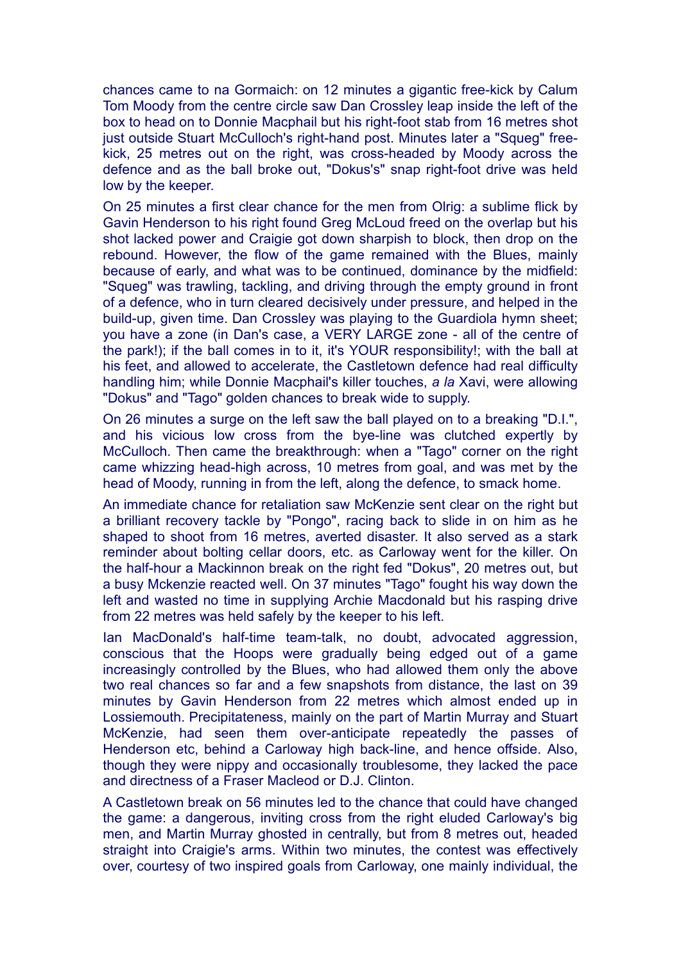chances came to na Gormaich: on 12 minutes a gigantic free-kick by Calum Tom Moody from the centre circle saw Dan Crossley leap inside the left of the box to head on to Donnie Macphail but his right-foot stab from 16 metres shot just outside Stuart McCulloch's right-hand post. Minutes later a "Squeg" freekick, 25 metres out on the right, was cross-headed by Moody across the defence and as the ball broke out, "Dokus's" snap right-foot drive was held low by the keeper.

On 25 minutes a first clear chance for the men from Olrig: a sublime flick by Gavin Henderson to his right found Greg McLoud freed on the overlap but his shot lacked power and Craigie got down sharpish to block, then drop on the rebound. However, the flow of the game remained with the Blues, mainly because of early, and what was to be continued, dominance by the midfield: "Squeg" was trawling, tackling, and driving through the empty ground in front of a defence, who in turn cleared decisively under pressure, and helped in the build-up, given time. Dan Crossley was playing to the Guardiola hymn sheet; you have a zone (in Dan's case, a VERY LARGE zone - all of the centre of the park!); if the ball comes in to it, it's YOUR responsibility!; with the ball at his feet, and allowed to accelerate, the Castletown defence had real difficulty handling him; while Donnie Macphail's killer touches, *a la* Xavi, were allowing "Dokus" and "Tago" golden chances to break wide to supply.

On 26 minutes a surge on the left saw the ball played on to a breaking "D.I.", and his vicious low cross from the bye-line was clutched expertly by McCulloch. Then came the breakthrough: when a "Tago" corner on the right came whizzing head-high across, 10 metres from goal, and was met by the head of Moody, running in from the left, along the defence, to smack home.

An immediate chance for retaliation saw McKenzie sent clear on the right but a brilliant recovery tackle by "Pongo", racing back to slide in on him as he shaped to shoot from 16 metres, averted disaster. It also served as a stark reminder about bolting cellar doors, etc. as Carloway went for the killer. On the half-hour a Mackinnon break on the right fed "Dokus", 20 metres out, but a busy Mckenzie reacted well. On 37 minutes "Tago" fought his way down the left and wasted no time in supplying Archie Macdonald but his rasping drive from 22 metres was held safely by the keeper to his left.

Ian MacDonald's half-time team-talk, no doubt, advocated aggression, conscious that the Hoops were gradually being edged out of a game increasingly controlled by the Blues, who had allowed them only the above two real chances so far and a few snapshots from distance, the last on 39 minutes by Gavin Henderson from 22 metres which almost ended up in Lossiemouth. Precipitateness, mainly on the part of Martin Murray and Stuart McKenzie, had seen them over-anticipate repeatedly the passes of Henderson etc, behind a Carloway high back-line, and hence offside. Also, though they were nippy and occasionally troublesome, they lacked the pace and directness of a Fraser Macleod or D.J. Clinton.

A Castletown break on 56 minutes led to the chance that could have changed the game: a dangerous, inviting cross from the right eluded Carloway's big men, and Martin Murray ghosted in centrally, but from 8 metres out, headed straight into Craigie's arms. Within two minutes, the contest was effectively over, courtesy of two inspired goals from Carloway, one mainly individual, the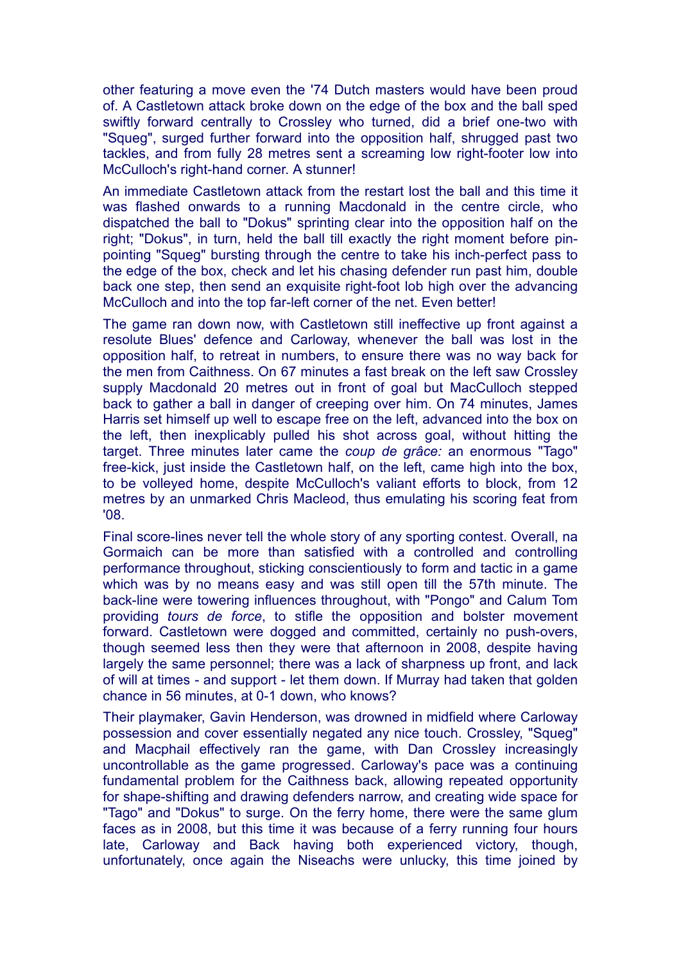other featuring a move even the '74 Dutch masters would have been proud of. A Castletown attack broke down on the edge of the box and the ball sped swiftly forward centrally to Crossley who turned, did a brief one-two with "Squeg", surged further forward into the opposition half, shrugged past two tackles, and from fully 28 metres sent a screaming low right-footer low into McCulloch's right-hand corner. A stunner!

An immediate Castletown attack from the restart lost the ball and this time it was flashed onwards to a running Macdonald in the centre circle, who dispatched the ball to "Dokus" sprinting clear into the opposition half on the right; "Dokus", in turn, held the ball till exactly the right moment before pinpointing "Squeg" bursting through the centre to take his inch-perfect pass to the edge of the box, check and let his chasing defender run past him, double back one step, then send an exquisite right-foot lob high over the advancing McCulloch and into the top far-left corner of the net. Even better!

The game ran down now, with Castletown still ineffective up front against a resolute Blues' defence and Carloway, whenever the ball was lost in the opposition half, to retreat in numbers, to ensure there was no way back for the men from Caithness. On 67 minutes a fast break on the left saw Crossley supply Macdonald 20 metres out in front of goal but MacCulloch stepped back to gather a ball in danger of creeping over him. On 74 minutes, James Harris set himself up well to escape free on the left, advanced into the box on the left, then inexplicably pulled his shot across goal, without hitting the target. Three minutes later came the *coup de grâce:* an enormous "Tago" free-kick, just inside the Castletown half, on the left, came high into the box, to be volleyed home, despite McCulloch's valiant efforts to block, from 12 metres by an unmarked Chris Macleod, thus emulating his scoring feat from '08.

Final score-lines never tell the whole story of any sporting contest. Overall, na Gormaich can be more than satisfied with a controlled and controlling performance throughout, sticking conscientiously to form and tactic in a game which was by no means easy and was still open till the 57th minute. The back-line were towering influences throughout, with "Pongo" and Calum Tom providing *tours de force*, to stifle the opposition and bolster movement forward. Castletown were dogged and committed, certainly no push-overs, though seemed less then they were that afternoon in 2008, despite having largely the same personnel; there was a lack of sharpness up front, and lack of will at times - and support - let them down. If Murray had taken that golden chance in 56 minutes, at 0-1 down, who knows?

Their playmaker, Gavin Henderson, was drowned in midfield where Carloway possession and cover essentially negated any nice touch. Crossley, "Squeg" and Macphail effectively ran the game, with Dan Crossley increasingly uncontrollable as the game progressed. Carloway's pace was a continuing fundamental problem for the Caithness back, allowing repeated opportunity for shape-shifting and drawing defenders narrow, and creating wide space for "Tago" and "Dokus" to surge. On the ferry home, there were the same glum faces as in 2008, but this time it was because of a ferry running four hours late, Carloway and Back having both experienced victory, though, unfortunately, once again the Niseachs were unlucky, this time joined by